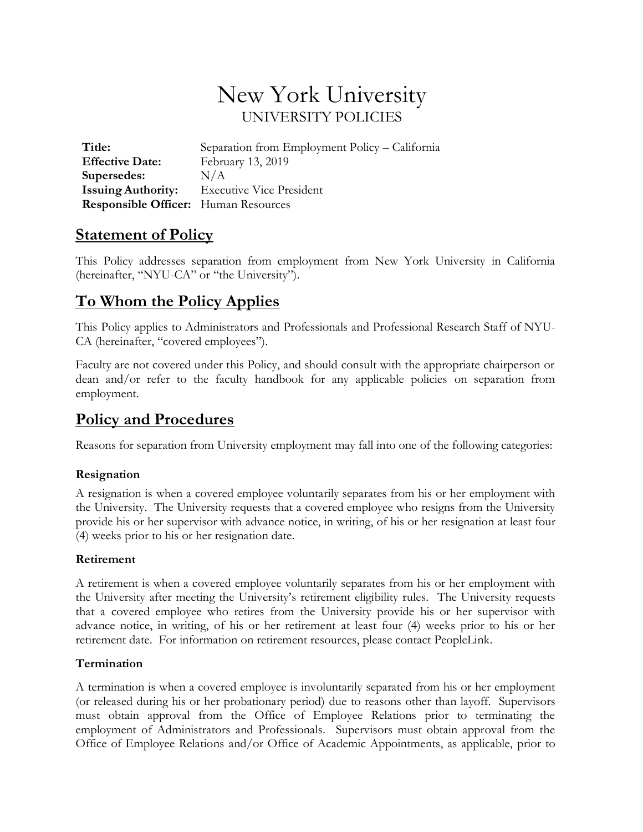# New York University UNIVERSITY POLICIES

**Title:** Separation from Employment Policy – California **Effective Date:** February 13, 2019 **Supersedes:** N/A **Issuing Authority:** Executive Vice President **Responsible Officer:** Human Resources

### **Statement of Policy**

This Policy addresses separation from employment from New York University in California (hereinafter, "NYU-CA" or "the University").

## **To Whom the Policy Applies**

This Policy applies to Administrators and Professionals and Professional Research Staff of NYU-CA (hereinafter, "covered employees").

Faculty are not covered under this Policy, and should consult with the appropriate chairperson or dean and/or refer to the faculty handbook for any applicable policies on separation from employment.

### **Policy and Procedures**

Reasons for separation from University employment may fall into one of the following categories:

### **Resignation**

A resignation is when a covered employee voluntarily separates from his or her employment with the University. The University requests that a covered employee who resigns from the University provide his or her supervisor with advance notice, in writing, of his or her resignation at least four (4) weeks prior to his or her resignation date.

### **Retirement**

A retirement is when a covered employee voluntarily separates from his or her employment with the University after meeting the University's retirement eligibility rules. The University requests that a covered employee who retires from the University provide his or her supervisor with advance notice, in writing, of his or her retirement at least four (4) weeks prior to his or her retirement date. For information on retirement resources, please contact PeopleLink.

#### **Termination**

A termination is when a covered employee is involuntarily separated from his or her employment (or released during his or her probationary period) due to reasons other than layoff. Supervisors must obtain approval from the Office of Employee Relations prior to terminating the employment of Administrators and Professionals. Supervisors must obtain approval from the Office of Employee Relations and/or Office of Academic Appointments, as applicable, prior to